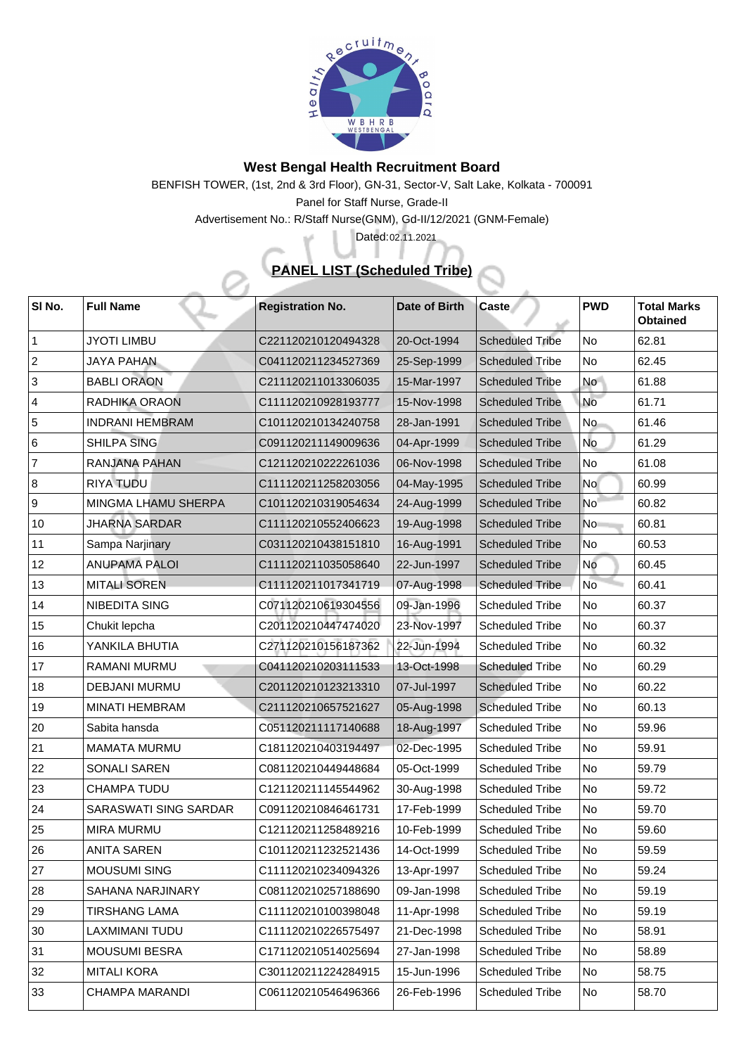

## **West Bengal Health Recruitment Board**

BENFISH TOWER, (1st, 2nd & 3rd Floor), GN-31, Sector-V, Salt Lake, Kolkata - 700091

Panel for Staff Nurse, Grade-II

Advertisement No.: R/Staff Nurse(GNM), Gd-II/12/2021 (GNM-Female)

## **PANEL LIST (Scheduled Tribe)**

Dated: 02.11.2021

| <b>SI No.</b>  | <b>Full Name</b>             | <b>Registration No.</b> | <b>Date of Birth</b> | <b>Caste</b>           | <b>PWD</b>      | <b>Total Marks</b><br><b>Obtained</b> |
|----------------|------------------------------|-------------------------|----------------------|------------------------|-----------------|---------------------------------------|
|                | <b>JYOTI LIMBU</b>           | C221120210120494328     | 20-Oct-1994          | <b>Scheduled Tribe</b> | N <sub>o</sub>  | 62.81                                 |
| 2              | <b>JAYA PAHAN</b>            | C041120211234527369     | 25-Sep-1999          | <b>Scheduled Tribe</b> | No              | 62.45                                 |
| $\mathbf{3}$   | <b>BABLI ORAON</b>           | C211120211013306035     | 15-Mar-1997          | <b>Scheduled Tribe</b> | <b>No</b>       | 61.88                                 |
| $\overline{4}$ | <b>RADHIKA ORAON</b>         | C111120210928193777     | 15-Nov-1998          | <b>Scheduled Tribe</b> | No              | 61.71                                 |
| 5              | <b>INDRANI HEMBRAM</b>       | C101120210134240758     | 28-Jan-1991          | <b>Scheduled Tribe</b> | No.             | 61.46                                 |
| 6              | <b>SHILPA SING</b>           | C091120211149009636     | 04-Apr-1999          | <b>Scheduled Tribe</b> | <b>No</b>       | 61.29                                 |
| $\overline{7}$ | <b>RANJANA PAHAN</b>         | C121120210222261036     | 06-Nov-1998          | <b>Scheduled Tribe</b> | No              | 61.08                                 |
| 8              | <b>RIYA TUDU</b>             | C111120211258203056     | 04-May-1995          | <b>Scheduled Tribe</b> | <b>No</b>       | 60.99                                 |
| 9              | <b>MINGMA LHAMU SHERPA</b>   | C101120210319054634     | 24-Aug-1999          | <b>Scheduled Tribe</b> | No <sup>-</sup> | 60.82                                 |
| 10             | <b>JHARNA SARDAR</b>         | C111120210552406623     | 19-Aug-1998          | <b>Scheduled Tribe</b> | N <sub>o</sub>  | 60.81                                 |
| 11             | <b>Sampa Narjinary</b>       | C031120210438151810     | 16-Aug-1991          | <b>Scheduled Tribe</b> | No              | 60.53                                 |
| 12             | <b>ANUPAMA PALOI</b>         | C111120211035058640     | 22-Jun-1997          | <b>Scheduled Tribe</b> | No              | 60.45                                 |
| 13             | <b>MITALI SOREN</b>          | C111120211017341719     | 07-Aug-1998          | <b>Scheduled Tribe</b> | <b>No</b>       | 60.41                                 |
| 14             | <b>NIBEDITA SING</b>         | C071120210619304556     | 09-Jan-1996          | <b>Scheduled Tribe</b> | No              | 60.37                                 |
| 15             | Chukit lepcha                | C201120210447474020     | 23-Nov-1997          | <b>Scheduled Tribe</b> | No              | 60.37                                 |
| 16             | YANKILA BHUTIA               | C271120210156187362     | 22-Jun-1994          | <b>Scheduled Tribe</b> | N <sub>o</sub>  | 60.32                                 |
| 17             | <b>RAMANI MURMU</b>          | C041120210203111533     | 13-Oct-1998          | <b>Scheduled Tribe</b> | No              | 60.29                                 |
| 18             | <b>DEBJANI MURMU</b>         | C201120210123213310     | 07-Jul-1997          | <b>Scheduled Tribe</b> | No              | 60.22                                 |
| 19             | <b>MINATI HEMBRAM</b>        | C211120210657521627     | 05-Aug-1998          | <b>Scheduled Tribe</b> | No              | 60.13                                 |
| 20             | Sabita hansda                | C051120211117140688     | 18-Aug-1997          | <b>Scheduled Tribe</b> | No              | 59.96                                 |
| 21             | MAMATA MURMU                 | C181120210403194497     | 02-Dec-1995          | <b>Scheduled Tribe</b> | No              | 59.91                                 |
| 22             | <b>SONALI SAREN</b>          | C081120210449448684     | 05-Oct-1999          | <b>Scheduled Tribe</b> | No              | 59.79                                 |
| 23             | <b>CHAMPA TUDU</b>           | C121120211145544962     | 30-Aug-1998          | <b>Scheduled Tribe</b> | N <sub>o</sub>  | 59.72                                 |
| 24             | <b>SARASWATI SING SARDAR</b> | C091120210846461731     | 17-Feb-1999          | <b>Scheduled Tribe</b> | No              | 59.70                                 |
| 25             | <b>MIRA MURMU</b>            | C121120211258489216     | 10-Feb-1999          | <b>Scheduled Tribe</b> | No              | 59.60                                 |
| 26             | <b>ANITA SAREN</b>           | C101120211232521436     | 14-Oct-1999          | <b>Scheduled Tribe</b> | <b>No</b>       | 59.59                                 |
| 27             | <b>MOUSUMI SING</b>          | C111120210234094326     | 13-Apr-1997          | <b>Scheduled Tribe</b> | No              | 59.24                                 |
| 28             | <b>SAHANA NARJINARY</b>      | C081120210257188690     | 09-Jan-1998          | <b>Scheduled Tribe</b> | No              | 59.19                                 |
| 29             | <b>TIRSHANG LAMA</b>         | C111120210100398048     | 11-Apr-1998          | <b>Scheduled Tribe</b> | No              | 59.19                                 |
| 30             | LAXMIMANI TUDU               | C111120210226575497     | 21-Dec-1998          | <b>Scheduled Tribe</b> | No              | 58.91                                 |
| 31             | <b>MOUSUMI BESRA</b>         | C171120210514025694     | 27-Jan-1998          | <b>Scheduled Tribe</b> | No              | 58.89                                 |
| 32             | <b>MITALI KORA</b>           | C301120211224284915     | 15-Jun-1996          | <b>Scheduled Tribe</b> | No              | 58.75                                 |
| 33             | <b>CHAMPA MARANDI</b>        | C061120210546496366     | 26-Feb-1996          | <b>Scheduled Tribe</b> | No              | 58.70                                 |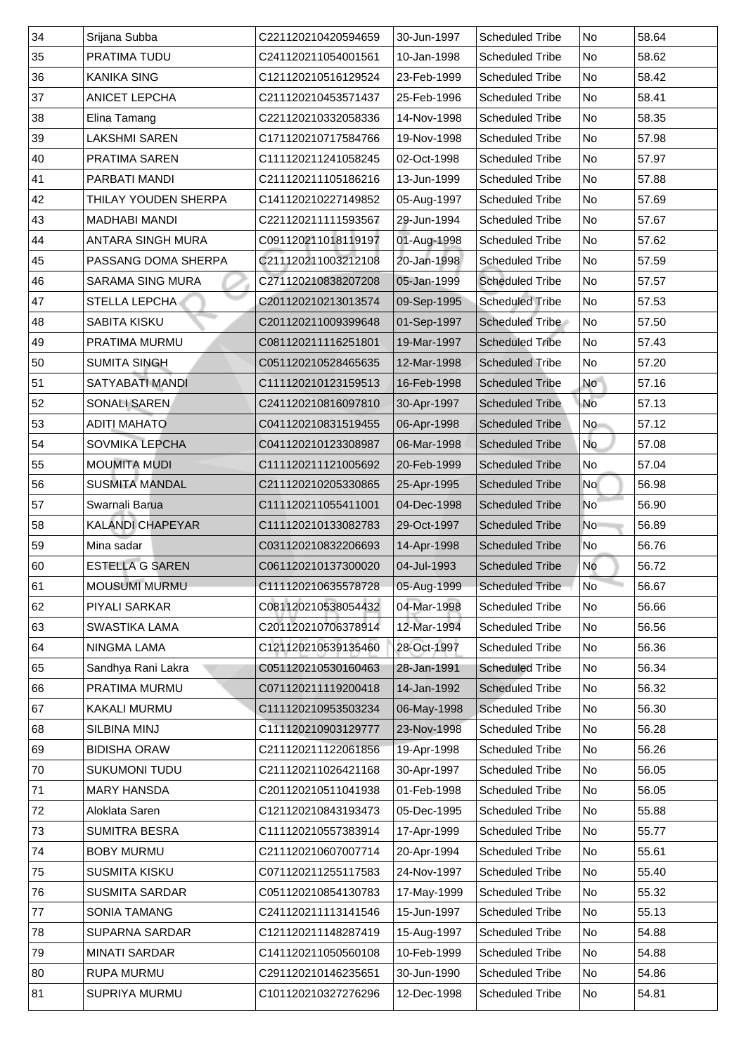| 34 | Srijana Subba            | C221120210420594659 | 30-Jun-1997 | <b>Scheduled Tribe</b> | No              | 58.64 |
|----|--------------------------|---------------------|-------------|------------------------|-----------------|-------|
| 35 | <b>PRATIMA TUDU</b>      | C241120211054001561 | 10-Jan-1998 | <b>Scheduled Tribe</b> | No              | 58.62 |
| 36 | <b>KANIKA SING</b>       | C121120210516129524 | 23-Feb-1999 | <b>Scheduled Tribe</b> | <b>No</b>       | 58.42 |
| 37 | <b>ANICET LEPCHA</b>     | C211120210453571437 | 25-Feb-1996 | <b>Scheduled Tribe</b> | No              | 58.41 |
| 38 | Elina Tamang             | C221120210332058336 | 14-Nov-1998 | <b>Scheduled Tribe</b> | <b>No</b>       | 58.35 |
| 39 | <b>LAKSHMI SAREN</b>     | C171120210717584766 | 19-Nov-1998 | <b>Scheduled Tribe</b> | <b>No</b>       | 57.98 |
| 40 | <b>PRATIMA SAREN</b>     | C111120211241058245 | 02-Oct-1998 | <b>Scheduled Tribe</b> | <b>No</b>       | 57.97 |
| 41 | <b>PARBATI MANDI</b>     | C211120211105186216 | 13-Jun-1999 | <b>Scheduled Tribe</b> | <b>No</b>       | 57.88 |
| 42 | THILAY YOUDEN SHERPA     | C141120210227149852 | 05-Aug-1997 | <b>Scheduled Tribe</b> | <b>No</b>       | 57.69 |
| 43 | <b>MADHABI MANDI</b>     | C221120211111593567 | 29-Jun-1994 | <b>Scheduled Tribe</b> | <b>No</b>       | 57.67 |
| 44 | <b>ANTARA SINGH MURA</b> | C091120211018119197 | 01-Aug-1998 | <b>Scheduled Tribe</b> | <b>No</b>       | 57.62 |
| 45 | PASSANG DOMA SHERPA      | C211120211003212108 | 20-Jan-1998 | <b>Scheduled Tribe</b> | <b>No</b>       | 57.59 |
| 46 | <b>SARAMA SING MURA</b>  | C271120210838207208 | 05-Jan-1999 | <b>Scheduled Tribe</b> | <b>No</b>       | 57.57 |
| 47 | <b>STELLA LEPCHA</b>     | C201120210213013574 | 09-Sep-1995 | <b>Scheduled Tribe</b> | No              | 57.53 |
| 48 | <b>SABITA KISKU</b>      | C201120211009399648 | 01-Sep-1997 | <b>Scheduled Tribe</b> | No              | 57.50 |
| 49 | <b>PRATIMA MURMU</b>     | C081120211116251801 | 19-Mar-1997 | <b>Scheduled Tribe</b> | No              | 57.43 |
| 50 | <b>SUMITA SINGH</b>      | C051120210528465635 | 12-Mar-1998 | <b>Scheduled Tribe</b> | No              | 57.20 |
| 51 | SATYABATI MANDI          | C111120210123159513 | 16-Feb-1998 | <b>Scheduled Tribe</b> | No              | 57.16 |
| 52 | <b>SONALI SAREN</b>      | C241120210816097810 | 30-Apr-1997 | <b>Scheduled Tribe</b> | No              | 57.13 |
| 53 | <b>ADITI MAHATO</b>      | C041120210831519455 | 06-Apr-1998 | <b>Scheduled Tribe</b> | No              | 57.12 |
| 54 | <b>SOVMIKA LEPCHA</b>    | C041120210123308987 | 06-Mar-1998 | <b>Scheduled Tribe</b> | <b>No</b>       | 57.08 |
| 55 | <b>MOUMITA MUDI</b>      | C111120211121005692 | 20-Feb-1999 | <b>Scheduled Tribe</b> | No              | 57.04 |
| 56 | <b>SUSMITA MANDAL</b>    | C211120210205330865 | 25-Apr-1995 | <b>Scheduled Tribe</b> | <b>No</b>       | 56.98 |
| 57 | Swarnali Barua           | C111120211055411001 | 04-Dec-1998 | <b>Scheduled Tribe</b> | No <sup>-</sup> | 56.90 |
| 58 | <b>KALANDI CHAPEYAR</b>  | C111120210133082783 | 29-Oct-1997 | <b>Scheduled Tribe</b> | N <sub>o</sub>  | 56.89 |
| 59 | Mina sadar               | C031120210832206693 | 14-Apr-1998 | <b>Scheduled Tribe</b> | No              | 56.76 |
| 60 | <b>ESTELLA G SAREN</b>   | C061120210137300020 | 04-Jul-1993 | <b>Scheduled Tribe</b> | <b>No</b>       | 56.72 |
| 61 | <b>MOUSUMI MURMU</b>     | C111120210635578728 | 05-Aug-1999 | <b>Scheduled Tribe</b> | <b>No</b>       | 56.67 |
| 62 | <b>PIYALI SARKAR</b>     | C081120210538054432 | 04-Mar-1998 | <b>Scheduled Tribe</b> | No              | 56.66 |
| 63 | <b>SWASTIKA LAMA</b>     | C201120210706378914 | 12-Mar-1994 | <b>Scheduled Tribe</b> | No              | 56.56 |
| 64 | <b>NINGMA LAMA</b>       | C121120210539135460 | 28-Oct-1997 | <b>Scheduled Tribe</b> | No              | 56.36 |
| 65 | Sandhya Rani Lakra       | C051120210530160463 | 28-Jan-1991 | <b>Scheduled Tribe</b> | <b>No</b>       | 56.34 |
| 66 | <b>PRATIMA MURMU</b>     | C071120211119200418 | 14-Jan-1992 | <b>Scheduled Tribe</b> | No              | 56.32 |
| 67 | <b>KAKALI MURMU</b>      | C111120210953503234 | 06-May-1998 | <b>Scheduled Tribe</b> | <b>No</b>       | 56.30 |
| 68 | <b>SILBINA MINJ</b>      | C111120210903129777 | 23-Nov-1998 | <b>Scheduled Tribe</b> | No              | 56.28 |
| 69 | <b>BIDISHA ORAW</b>      | C211120211122061856 | 19-Apr-1998 | <b>Scheduled Tribe</b> | <b>No</b>       | 56.26 |
| 70 | <b>SUKUMONI TUDU</b>     | C211120211026421168 | 30-Apr-1997 | <b>Scheduled Tribe</b> | <b>No</b>       | 56.05 |
| 71 | <b>MARY HANSDA</b>       | C201120210511041938 | 01-Feb-1998 | <b>Scheduled Tribe</b> | No              | 56.05 |
| 72 | <b>Aloklata Saren</b>    | C121120210843193473 | 05-Dec-1995 | <b>Scheduled Tribe</b> | <b>No</b>       | 55.88 |
| 73 | <b>SUMITRA BESRA</b>     | C111120210557383914 | 17-Apr-1999 | <b>Scheduled Tribe</b> | <b>No</b>       | 55.77 |
| 74 | <b>BOBY MURMU</b>        | C211120210607007714 | 20-Apr-1994 | <b>Scheduled Tribe</b> | No              | 55.61 |
| 75 | <b>SUSMITA KISKU</b>     | C071120211255117583 | 24-Nov-1997 | <b>Scheduled Tribe</b> | No              | 55.40 |
| 76 | <b>SUSMITA SARDAR</b>    | C051120210854130783 | 17-May-1999 | <b>Scheduled Tribe</b> | No              | 55.32 |
| 77 | <b>SONIA TAMANG</b>      | C241120211113141546 | 15-Jun-1997 | <b>Scheduled Tribe</b> | No              | 55.13 |
| 78 | SUPARNA SARDAR           | C121120211148287419 | 15-Aug-1997 | <b>Scheduled Tribe</b> | No              | 54.88 |
| 79 | <b>MINATI SARDAR</b>     | C141120211050560108 | 10-Feb-1999 | <b>Scheduled Tribe</b> | No              | 54.88 |
| 80 | <b>RUPA MURMU</b>        | C291120210146235651 | 30-Jun-1990 | <b>Scheduled Tribe</b> | No.             | 54.86 |
| 81 | <b>SUPRIYA MURMU</b>     | C101120210327276296 | 12-Dec-1998 | <b>Scheduled Tribe</b> | No              | 54.81 |
|    |                          |                     |             |                        |                 |       |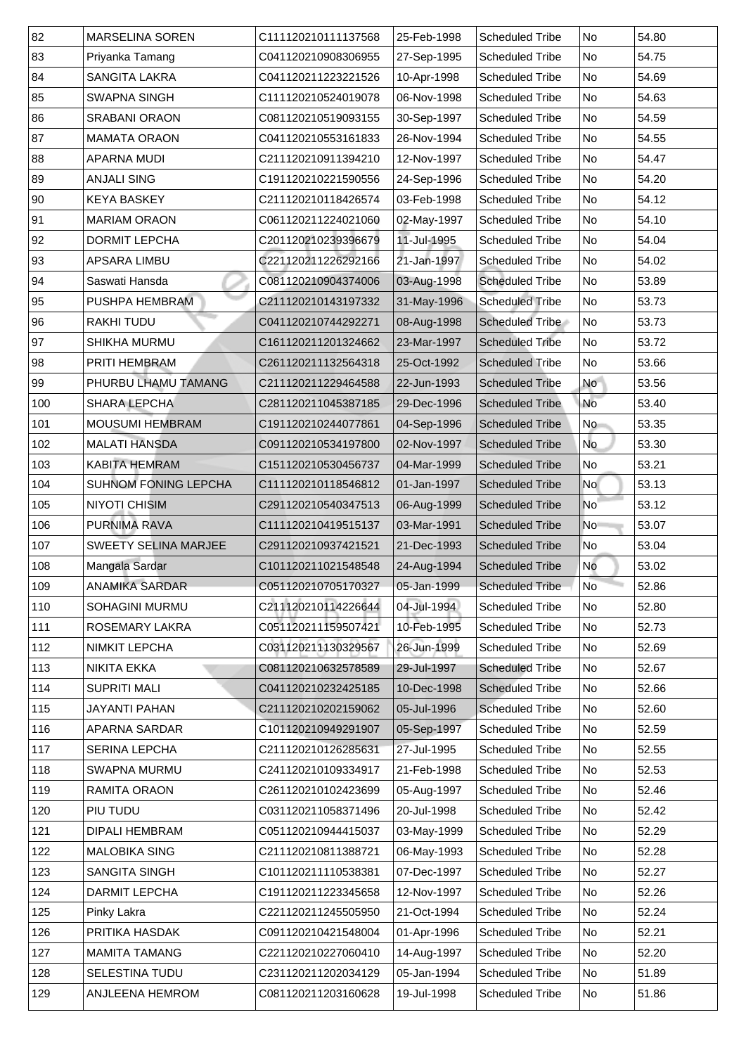| 82  | <b>MARSELINA SOREN</b>      | C111120210111137568 | 25-Feb-1998 | <b>Scheduled Tribe</b> | No                       | 54.80 |
|-----|-----------------------------|---------------------|-------------|------------------------|--------------------------|-------|
| 83  | Priyanka Tamang             | C041120210908306955 | 27-Sep-1995 | <b>Scheduled Tribe</b> | No                       | 54.75 |
| 84  | <b>SANGITA LAKRA</b>        | C041120211223221526 | 10-Apr-1998 | <b>Scheduled Tribe</b> | No                       | 54.69 |
| 85  | <b>SWAPNA SINGH</b>         | C111120210524019078 | 06-Nov-1998 | <b>Scheduled Tribe</b> | No                       | 54.63 |
| 86  | <b>SRABANI ORAON</b>        | C081120210519093155 | 30-Sep-1997 | <b>Scheduled Tribe</b> | No                       | 54.59 |
| 87  | <b>MAMATA ORAON</b>         | C041120210553161833 | 26-Nov-1994 | <b>Scheduled Tribe</b> | No                       | 54.55 |
| 88  | <b>APARNA MUDI</b>          | C211120210911394210 | 12-Nov-1997 | <b>Scheduled Tribe</b> | No                       | 54.47 |
| 89  | <b>ANJALI SING</b>          | C191120210221590556 | 24-Sep-1996 | <b>Scheduled Tribe</b> | No                       | 54.20 |
| 90  | <b>KEYA BASKEY</b>          | C211120210118426574 | 03-Feb-1998 | <b>Scheduled Tribe</b> | No                       | 54.12 |
| 91  | <b>MARIAM ORAON</b>         | C061120211224021060 | 02-May-1997 | <b>Scheduled Tribe</b> | No                       | 54.10 |
| 92  | <b>DORMIT LEPCHA</b>        | C201120210239396679 | 11-Jul-1995 | <b>Scheduled Tribe</b> | No                       | 54.04 |
| 93  | <b>APSARA LIMBU</b>         | C221120211226292166 | 21-Jan-1997 | <b>Scheduled Tribe</b> | No                       | 54.02 |
| 94  | Saswati Hansda              | C081120210904374006 | 03-Aug-1998 | <b>Scheduled Tribe</b> | No                       | 53.89 |
| 95  | <b>PUSHPA HEMBRAM</b>       | C211120210143197332 | 31-May-1996 | <b>Scheduled Tribe</b> | No                       | 53.73 |
| 96  | <b>RAKHITUDU</b>            | C041120210744292271 | 08-Aug-1998 | <b>Scheduled Tribe</b> | No                       | 53.73 |
| 97  | <b>SHIKHA MURMU</b>         | C161120211201324662 | 23-Mar-1997 | <b>Scheduled Tribe</b> | No                       | 53.72 |
| 98  | <b>PRITI HEMBRAM</b>        | C261120211132564318 | 25-Oct-1992 | <b>Scheduled Tribe</b> | No                       | 53.66 |
| 99  | PHURBU LHAMU TAMANG         | C211120211229464588 | 22-Jun-1993 | <b>Scheduled Tribe</b> | <b>No</b>                | 53.56 |
| 100 | <b>SHARA LEPCHA</b>         | C281120211045387185 | 29-Dec-1996 | <b>Scheduled Tribe</b> | <b>No</b>                | 53.40 |
| 101 | <b>MOUSUMI HEMBRAM</b>      | C191120210244077861 | 04-Sep-1996 | <b>Scheduled Tribe</b> | No                       | 53.35 |
| 102 | <b>MALATI HANSDA</b>        | C091120210534197800 | 02-Nov-1997 | <b>Scheduled Tribe</b> | No                       | 53.30 |
| 103 | <b>KABITA HEMRAM</b>        | C151120210530456737 | 04-Mar-1999 | <b>Scheduled Tribe</b> | N <sub>O</sub>           | 53.21 |
| 104 | <b>SUHNOM FONING LEPCHA</b> | C111120210118546812 | 01-Jan-1997 | <b>Scheduled Tribe</b> | No                       | 53.13 |
| 105 | <b>NIYOTI CHISIM</b>        | C291120210540347513 | 06-Aug-1999 | <b>Scheduled Tribe</b> | $\overline{\mathsf{No}}$ | 53.12 |
| 106 | <b>PURNIMA RAVA</b>         | C111120210419515137 | 03-Mar-1991 | <b>Scheduled Tribe</b> | N <sub>o</sub>           | 53.07 |
| 107 | <b>SWEETY SELINA MARJEE</b> | C291120210937421521 | 21-Dec-1993 | <b>Scheduled Tribe</b> | No                       | 53.04 |
| 108 | Mangala Sardar              | C101120211021548548 | 24-Aug-1994 | <b>Scheduled Tribe</b> | <b>No</b>                | 53.02 |
| 109 | <b>ANAMIKA SARDAR</b>       | C051120210705170327 | 05-Jan-1999 | <b>Scheduled Tribe</b> | No                       | 52.86 |
| 110 | <b>SOHAGINI MURMU</b>       | C211120210114226644 | 04-Jul-1994 | <b>Scheduled Tribe</b> | No                       | 52.80 |
| 111 | <b>ROSEMARY LAKRA</b>       | C051120211159507421 | 10-Feb-1995 | <b>Scheduled Tribe</b> | No                       | 52.73 |
| 112 | <b>NIMKIT LEPCHA</b>        | C031120211130329567 | 26-Jun-1999 | <b>Scheduled Tribe</b> | No                       | 52.69 |
| 113 | <b>NIKITA EKKA</b>          | C081120210632578589 | 29-Jul-1997 | <b>Scheduled Tribe</b> | No                       | 52.67 |
| 114 | <b>SUPRITI MALI</b>         | C041120210232425185 | 10-Dec-1998 | <b>Scheduled Tribe</b> | No                       | 52.66 |
| 115 | <b>JAYANTI PAHAN</b>        | C211120210202159062 | 05-Jul-1996 | <b>Scheduled Tribe</b> | No                       | 52.60 |
| 116 | APARNA SARDAR               | C101120210949291907 | 05-Sep-1997 | <b>Scheduled Tribe</b> | No                       | 52.59 |
| 117 | <b>SERINA LEPCHA</b>        | C211120210126285631 | 27-Jul-1995 | <b>Scheduled Tribe</b> | No                       | 52.55 |
| 118 | <b>SWAPNA MURMU</b>         | C241120210109334917 | 21-Feb-1998 | <b>Scheduled Tribe</b> | No                       | 52.53 |
| 119 | <b>RAMITA ORAON</b>         | C261120210102423699 | 05-Aug-1997 | <b>Scheduled Tribe</b> | No                       | 52.46 |
| 120 | PIU TUDU                    | C031120211058371496 | 20-Jul-1998 | <b>Scheduled Tribe</b> | N <sub>o</sub>           | 52.42 |
| 121 | <b>DIPALI HEMBRAM</b>       | C051120210944415037 | 03-May-1999 | <b>Scheduled Tribe</b> | No                       | 52.29 |
| 122 | <b>MALOBIKA SING</b>        | C211120210811388721 | 06-May-1993 | <b>Scheduled Tribe</b> | No                       | 52.28 |
| 123 | <b>SANGITA SINGH</b>        | C101120211110538381 | 07-Dec-1997 | <b>Scheduled Tribe</b> | No No                    | 52.27 |
| 124 | <b>DARMIT LEPCHA</b>        | C191120211223345658 | 12-Nov-1997 | <b>Scheduled Tribe</b> | No                       | 52.26 |
| 125 | Pinky Lakra                 | C221120211245505950 | 21-Oct-1994 | <b>Scheduled Tribe</b> | No                       | 52.24 |
| 126 | PRITIKA HASDAK              | C091120210421548004 | 01-Apr-1996 | <b>Scheduled Tribe</b> | No                       | 52.21 |
| 127 | <b>MAMITA TAMANG</b>        | C221120210227060410 | 14-Aug-1997 | <b>Scheduled Tribe</b> | No                       | 52.20 |
| 128 | <b>SELESTINA TUDU</b>       | C231120211202034129 | 05-Jan-1994 | <b>Scheduled Tribe</b> | No                       | 51.89 |
| 129 | ANJLEENA HEMROM             | C081120211203160628 | 19-Jul-1998 | <b>Scheduled Tribe</b> | No                       | 51.86 |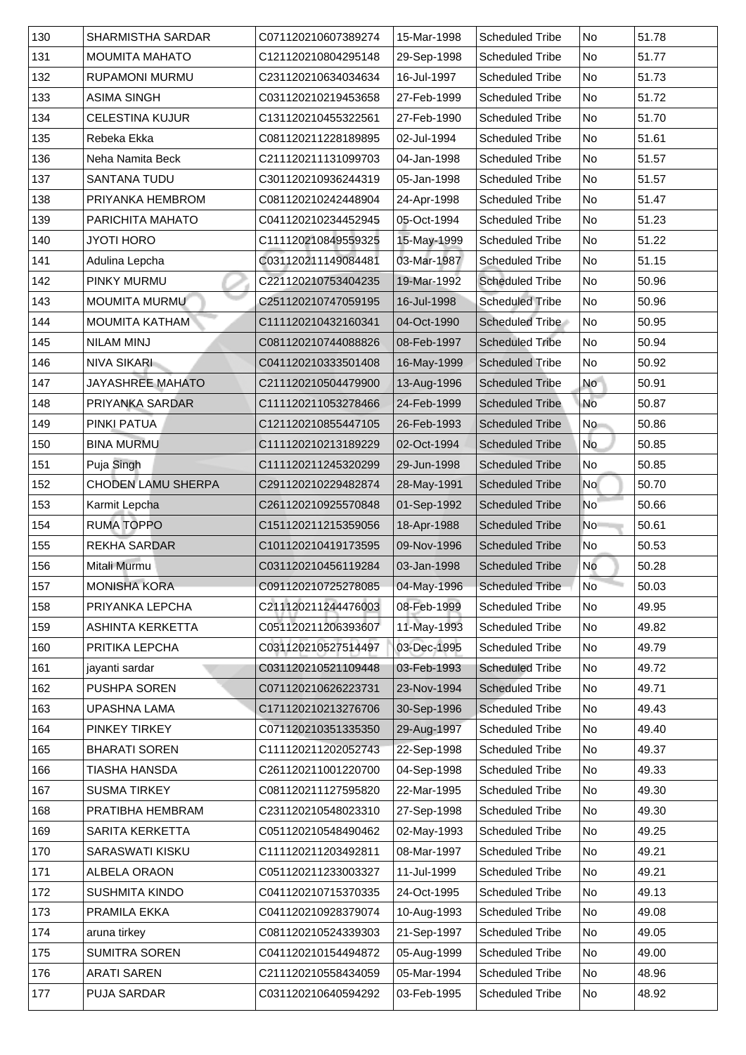| 130 |                                                   |                                            |                            |                                                  |                          |                |
|-----|---------------------------------------------------|--------------------------------------------|----------------------------|--------------------------------------------------|--------------------------|----------------|
| 131 | <b>SHARMISTHA SARDAR</b><br><b>MOUMITA MAHATO</b> | C071120210607389274<br>C121120210804295148 | 15-Mar-1998<br>29-Sep-1998 | <b>Scheduled Tribe</b><br><b>Scheduled Tribe</b> | No<br>No                 | 51.78<br>51.77 |
| 132 | <b>RUPAMONI MURMU</b>                             | C231120210634034634                        | 16-Jul-1997                | <b>Scheduled Tribe</b>                           | No                       | 51.73          |
| 133 | <b>ASIMA SINGH</b>                                | C031120210219453658                        | 27-Feb-1999                | <b>Scheduled Tribe</b>                           | No                       | 51.72          |
| 134 | <b>CELESTINA KUJUR</b>                            | C131120210455322561                        | 27-Feb-1990                | <b>Scheduled Tribe</b>                           | No                       | 51.70          |
| 135 | Rebeka Ekka                                       | C081120211228189895                        | 02-Jul-1994                | <b>Scheduled Tribe</b>                           | No                       | 51.61          |
| 136 | Neha Namita Beck                                  | C211120211131099703                        | 04-Jan-1998                | <b>Scheduled Tribe</b>                           | No                       | 51.57          |
| 137 | <b>SANTANA TUDU</b>                               | C301120210936244319                        | 05-Jan-1998                | <b>Scheduled Tribe</b>                           | No                       | 51.57          |
| 138 | PRIYANKA HEMBROM                                  | C081120210242448904                        | 24-Apr-1998                | <b>Scheduled Tribe</b>                           | N <sub>o</sub>           | 51.47          |
| 139 | <b>PARICHITA MAHATO</b>                           | C041120210234452945                        | 05-Oct-1994                | <b>Scheduled Tribe</b>                           | No                       | 51.23          |
| 140 | <b>JYOTI HORO</b>                                 | C111120210849559325                        | 15-May-1999                | <b>Scheduled Tribe</b>                           | No                       | 51.22          |
| 141 | Adulina Lepcha                                    | C031120211149084481                        | 03-Mar-1987                | <b>Scheduled Tribe</b>                           | No                       | 51.15          |
| 142 | <b>PINKY MURMU</b>                                | C221120210753404235                        | 19-Mar-1992                | <b>Scheduled Tribe</b>                           | No                       | 50.96          |
| 143 | <b>MOUMITA MURMU</b>                              | C251120210747059195                        | 16-Jul-1998                | <b>Scheduled Tribe</b>                           | No                       | 50.96          |
| 144 | <b>MOUMITA KATHAM</b>                             | C111120210432160341                        | 04-Oct-1990                | Scheduled Tribe                                  | No                       | 50.95          |
| 145 | <b>NILAM MINJ</b>                                 | C081120210744088826                        | 08-Feb-1997                | <b>Scheduled Tribe</b>                           | No                       | 50.94          |
| 146 | <b>NIVA SIKARL</b>                                | C041120210333501408                        | 16-May-1999                | <b>Scheduled Tribe</b>                           | No                       | 50.92          |
| 147 | <b>JAYASHREE MAHATO</b>                           | C211120210504479900                        | 13-Aug-1996                | <b>Scheduled Tribe</b>                           | <b>No</b>                | 50.91          |
| 148 | <b>PRIYANKA SARDAR</b>                            | C111120211053278466                        | 24-Feb-1999                | <b>Scheduled Tribe</b>                           | <b>No</b>                | 50.87          |
| 149 | <b>PINKI PATUA</b>                                | C121120210855447105                        | 26-Feb-1993                | <b>Scheduled Tribe</b>                           | No                       | 50.86          |
| 150 | <b>BINA MURMU</b>                                 | C111120210213189229                        | 02-Oct-1994                | <b>Scheduled Tribe</b>                           | No                       | 50.85          |
| 151 | Puja Singh                                        | C111120211245320299                        | 29-Jun-1998                | <b>Scheduled Tribe</b>                           | No                       | 50.85          |
| 152 | <b>CHODEN LAMU SHERPA</b>                         | C291120210229482874                        | 28-May-1991                | <b>Scheduled Tribe</b>                           | <b>No</b>                | 50.70          |
| 153 | Karmit Lepcha                                     | C261120210925570848                        | 01-Sep-1992                | <b>Scheduled Tribe</b>                           | $\overline{\mathsf{No}}$ | 50.66          |
| 154 | <b>RUMA TOPPO</b>                                 | C151120211215359056                        | 18-Apr-1988                | <b>Scheduled Tribe</b>                           | N <sub>o</sub>           | 50.61          |
| 155 | <b>REKHA SARDAR</b>                               | C101120210419173595                        | 09-Nov-1996                | <b>Scheduled Tribe</b>                           | No                       | 50.53          |
| 156 | Mitali Murmu                                      | C031120210456119284                        | 03-Jan-1998                | <b>Scheduled Tribe</b>                           | <b>No</b>                | 50.28          |
| 157 | <b>MONISHA KORA</b>                               | C091120210725278085                        | 04-May-1996                | <b>Scheduled Tribe</b>                           | <b>No</b>                | 50.03          |
| 158 | PRIYANKA LEPCHA                                   | C211120211244476003                        | 08-Feb-1999                | <b>Scheduled Tribe</b>                           | No                       | 49.95          |
| 159 | <b>ASHINTA KERKETTA</b>                           | C051120211206393607                        | 11-May-1993                | <b>Scheduled Tribe</b>                           | No                       | 49.82          |
| 160 | PRITIKA LEPCHA                                    | C031120210527514497                        | 03-Dec-1995                | <b>Scheduled Tribe</b>                           | No                       | 49.79          |
| 161 | jayanti sardar                                    | C031120210521109448                        | 03-Feb-1993                | <b>Scheduled Tribe</b>                           | No                       | 49.72          |
| 162 | <b>PUSHPA SOREN</b>                               | C071120210626223731                        | 23-Nov-1994                | <b>Scheduled Tribe</b>                           | No                       | 49.71          |
| 163 | UPASHNA LAMA                                      | C171120210213276706                        | 30-Sep-1996                | <b>Scheduled Tribe</b>                           | No                       | 49.43          |
| 164 | <b>PINKEY TIRKEY</b>                              | C071120210351335350                        | 29-Aug-1997                | <b>Scheduled Tribe</b>                           | No                       | 49.40          |
| 165 | <b>BHARATI SOREN</b>                              | C111120211202052743                        | 22-Sep-1998                | <b>Scheduled Tribe</b>                           | No                       | 49.37          |
| 166 | TIASHA HANSDA                                     | C261120211001220700                        | 04-Sep-1998                | <b>Scheduled Tribe</b>                           | No                       | 49.33          |
| 167 | <b>SUSMA TIRKEY</b>                               | C081120211127595820                        | 22-Mar-1995                | <b>Scheduled Tribe</b>                           | No                       | 49.30          |
| 168 | <b>PRATIBHA HEMBRAM</b>                           | C231120210548023310                        | 27-Sep-1998                | <b>Scheduled Tribe</b>                           | No                       | 49.30          |
| 169 | <b>SARITA KERKETTA</b>                            | C051120210548490462                        | 02-May-1993                | <b>Scheduled Tribe</b>                           | No                       | 49.25          |
| 170 | <b>SARASWATI KISKU</b>                            | C111120211203492811                        | 08-Mar-1997                | <b>Scheduled Tribe</b>                           | No                       | 49.21          |
| 171 | <b>ALBELA ORAON</b>                               | C051120211233003327                        | 11-Jul-1999                | <b>Scheduled Tribe</b>                           | No No                    | 49.21          |
| 172 | <b>SUSHMITA KINDO</b>                             | C041120210715370335                        | 24-Oct-1995                | <b>Scheduled Tribe</b>                           | No                       | 49.13          |
| 173 | <b>PRAMILA EKKA</b>                               | C041120210928379074                        | 10-Aug-1993                | <b>Scheduled Tribe</b>                           | No                       | 49.08          |
| 174 | aruna tirkey                                      | C081120210524339303                        | 21-Sep-1997                | <b>Scheduled Tribe</b>                           | No                       | 49.05          |
| 175 | <b>SUMITRA SOREN</b>                              | C041120210154494872                        | 05-Aug-1999                | <b>Scheduled Tribe</b>                           | No                       | 49.00          |
| 176 | <b>ARATI SAREN</b>                                | C211120210558434059                        | 05-Mar-1994                | <b>Scheduled Tribe</b>                           | No                       | 48.96          |
| 177 | <b>PUJA SARDAR</b>                                | C031120210640594292                        | 03-Feb-1995                | <b>Scheduled Tribe</b>                           | No                       | 48.92          |
|     |                                                   |                                            |                            |                                                  |                          |                |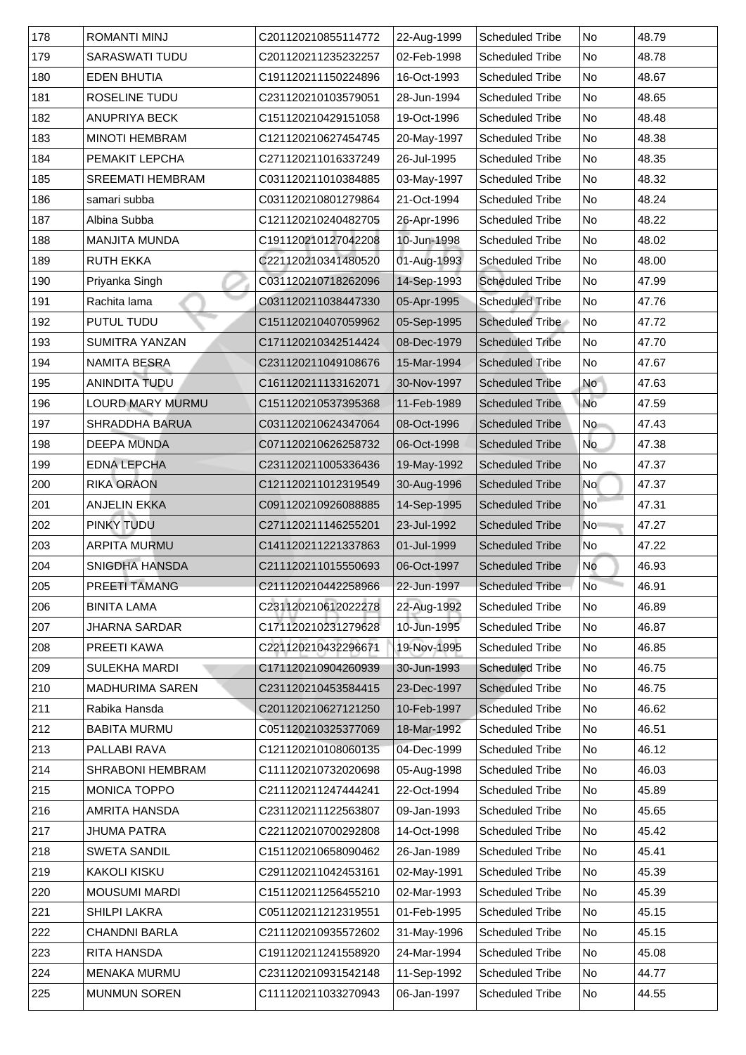| 178 | <b>ROMANTI MINJ</b>     | C201120210855114772 | 22-Aug-1999 | <b>Scheduled Tribe</b> | No                       | 48.79 |
|-----|-------------------------|---------------------|-------------|------------------------|--------------------------|-------|
| 179 | <b>SARASWATI TUDU</b>   | C201120211235232257 | 02-Feb-1998 | <b>Scheduled Tribe</b> | No                       | 48.78 |
| 180 | <b>EDEN BHUTIA</b>      | C191120211150224896 | 16-Oct-1993 | <b>Scheduled Tribe</b> | No                       | 48.67 |
| 181 | <b>ROSELINE TUDU</b>    | C231120210103579051 | 28-Jun-1994 | <b>Scheduled Tribe</b> | No                       | 48.65 |
| 182 | <b>ANUPRIYA BECK</b>    | C151120210429151058 | 19-Oct-1996 | <b>Scheduled Tribe</b> | No                       | 48.48 |
| 183 | <b>MINOTI HEMBRAM</b>   | C121120210627454745 | 20-May-1997 | <b>Scheduled Tribe</b> | N <sub>o</sub>           | 48.38 |
| 184 | <b>PEMAKIT LEPCHA</b>   | C271120211016337249 | 26-Jul-1995 | <b>Scheduled Tribe</b> | No                       | 48.35 |
| 185 | <b>SREEMATI HEMBRAM</b> | C031120211010384885 | 03-May-1997 | <b>Scheduled Tribe</b> | N <sub>o</sub>           | 48.32 |
| 186 | samari subba            | C031120210801279864 | 21-Oct-1994 | <b>Scheduled Tribe</b> | No                       | 48.24 |
| 187 | Albina Subba            | C121120210240482705 | 26-Apr-1996 | <b>Scheduled Tribe</b> | No                       | 48.22 |
| 188 | <b>MANJITA MUNDA</b>    | C191120210127042208 | 10-Jun-1998 | <b>Scheduled Tribe</b> | No                       | 48.02 |
| 189 | <b>RUTH EKKA</b>        | C221120210341480520 | 01-Aug-1993 | <b>Scheduled Tribe</b> | No                       | 48.00 |
| 190 | Priyanka Singh          | C031120210718262096 | 14-Sep-1993 | <b>Scheduled Tribe</b> | No                       | 47.99 |
| 191 | Rachita lama            | C031120211038447330 | 05-Apr-1995 | <b>Scheduled Tribe</b> | No                       | 47.76 |
| 192 | <b>PUTUL TUDU</b>       | C151120210407059962 | 05-Sep-1995 | <b>Scheduled Tribe</b> | No                       | 47.72 |
| 193 | <b>SUMITRA YANZAN</b>   | C171120210342514424 | 08-Dec-1979 | <b>Scheduled Tribe</b> | No                       | 47.70 |
| 194 | <b>NAMITA BESRA</b>     | C231120211049108676 | 15-Mar-1994 | <b>Scheduled Tribe</b> | No                       | 47.67 |
| 195 | <b>ANINDITA TUDU</b>    | C161120211133162071 | 30-Nov-1997 | <b>Scheduled Tribe</b> | <b>No</b>                | 47.63 |
| 196 | <b>LOURD MARY MURMU</b> | C151120210537395368 | 11-Feb-1989 | <b>Scheduled Tribe</b> | <b>No</b>                | 47.59 |
| 197 | <b>SHRADDHA BARUA</b>   | C031120210624347064 | 08-Oct-1996 | <b>Scheduled Tribe</b> | No                       | 47.43 |
| 198 | <b>DEEPA MUNDA</b>      | C071120210626258732 | 06-Oct-1998 | <b>Scheduled Tribe</b> | No                       | 47.38 |
| 199 | <b>EDNA LEPCHA</b>      | C231120211005336436 | 19-May-1992 | <b>Scheduled Tribe</b> | No                       | 47.37 |
| 200 | <b>RIKA ORAON</b>       | C121120211012319549 | 30-Aug-1996 | <b>Scheduled Tribe</b> | No l                     | 47.37 |
| 201 | <b>ANJELIN EKKA</b>     | C091120210926088885 | 14-Sep-1995 | <b>Scheduled Tribe</b> | $\overline{\mathsf{No}}$ | 47.31 |
| 202 | <b>PINKY TUDU</b>       | C271120211146255201 | 23-Jul-1992 | <b>Scheduled Tribe</b> | No                       | 47.27 |
| 203 | <b>ARPITA MURMU</b>     | C141120211221337863 | 01-Jul-1999 | <b>Scheduled Tribe</b> | No                       | 47.22 |
| 204 | <b>SNIGDHA HANSDA</b>   | C211120211015550693 | 06-Oct-1997 | <b>Scheduled Tribe</b> | <b>No</b>                | 46.93 |
| 205 | <b>PREETI TAMANG</b>    | C211120210442258966 | 22-Jun-1997 | <b>Scheduled Tribe</b> | N <sub>o</sub>           | 46.91 |
| 206 | <b>BINITA LAMA</b>      | C231120210612022278 | 22-Aug-1992 | <b>Scheduled Tribe</b> | No                       | 46.89 |
| 207 | <b>JHARNA SARDAR</b>    | C171120210231279628 | 10-Jun-1995 | <b>Scheduled Tribe</b> | No                       | 46.87 |
| 208 | <b>PREETI KAWA</b>      | C221120210432296671 | 19-Nov-1995 | <b>Scheduled Tribe</b> | No                       | 46.85 |
| 209 | <b>SULEKHA MARDI</b>    | C171120210904260939 | 30-Jun-1993 | <b>Scheduled Tribe</b> | No                       | 46.75 |
| 210 | <b>MADHURIMA SAREN</b>  | C231120210453584415 | 23-Dec-1997 | <b>Scheduled Tribe</b> | No                       | 46.75 |
| 211 | Rabika Hansda           | C201120210627121250 | 10-Feb-1997 | <b>Scheduled Tribe</b> | No                       | 46.62 |
| 212 | <b>BABITA MURMU</b>     | C051120210325377069 | 18-Mar-1992 | <b>Scheduled Tribe</b> | No                       | 46.51 |
| 213 | <b>PALLABI RAVA</b>     | C121120210108060135 | 04-Dec-1999 | <b>Scheduled Tribe</b> | No                       | 46.12 |
| 214 | <b>SHRABONI HEMBRAM</b> | C111120210732020698 | 05-Aug-1998 | <b>Scheduled Tribe</b> | N <sub>o</sub>           | 46.03 |
| 215 | <b>MONICA TOPPO</b>     | C211120211247444241 | 22-Oct-1994 | <b>Scheduled Tribe</b> | No                       | 45.89 |
| 216 | <b>AMRITA HANSDA</b>    | C231120211122563807 | 09-Jan-1993 | <b>Scheduled Tribe</b> | No                       | 45.65 |
| 217 | <b>JHUMA PATRA</b>      | C221120210700292808 | 14-Oct-1998 | <b>Scheduled Tribe</b> | N <sub>o</sub>           | 45.42 |
| 218 | <b>SWETA SANDIL</b>     | C151120210658090462 | 26-Jan-1989 | <b>Scheduled Tribe</b> | No                       | 45.41 |
| 219 | KAKOLI KISKU            | C291120211042453161 | 02-May-1991 | <b>Scheduled Tribe</b> | No                       | 45.39 |
| 220 | <b>MOUSUMI MARDI</b>    | C151120211256455210 | 02-Mar-1993 | <b>Scheduled Tribe</b> | No.                      | 45.39 |
| 221 | <b>SHILPI LAKRA</b>     | C051120211212319551 | 01-Feb-1995 | <b>Scheduled Tribe</b> | No                       | 45.15 |
| 222 | <b>CHANDNI BARLA</b>    | C211120210935572602 | 31-May-1996 | <b>Scheduled Tribe</b> | No                       | 45.15 |
| 223 | <b>RITA HANSDA</b>      | C191120211241558920 | 24-Mar-1994 | <b>Scheduled Tribe</b> | No                       | 45.08 |
| 224 | MENAKA MURMU            | C231120210931542148 | 11-Sep-1992 | <b>Scheduled Tribe</b> | No                       | 44.77 |
| 225 | <b>MUNMUN SOREN</b>     | C111120211033270943 | 06-Jan-1997 | <b>Scheduled Tribe</b> | No                       | 44.55 |
|     |                         |                     |             |                        |                          |       |